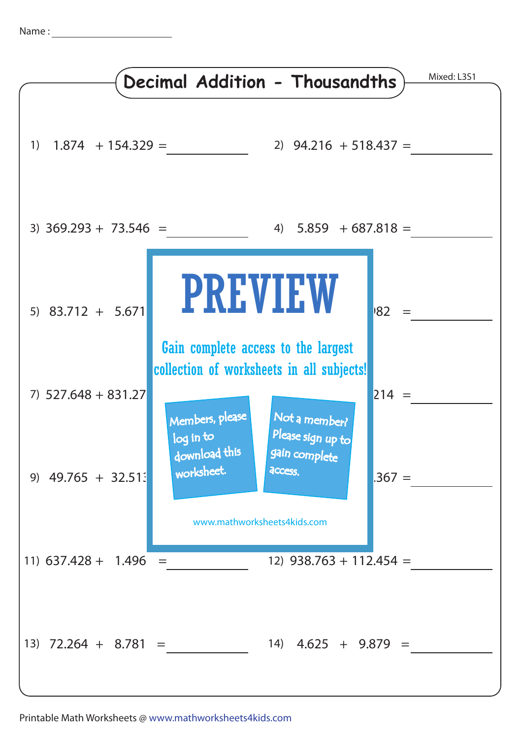